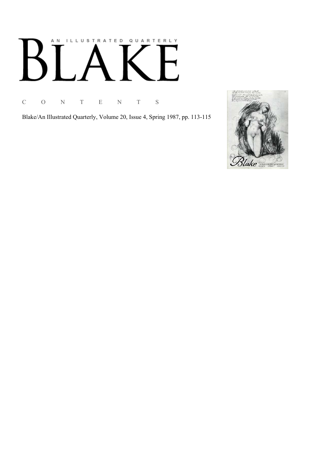# AN ILLUSTRATED QUARTERLY  $\boldsymbol{\mathsf{B}}$  $\mathbf{L}$

C O N T E N T S

Blake/An Illustrated Quarterly, Volume 20, Issue 4, Spring 1987, pp. 113-115

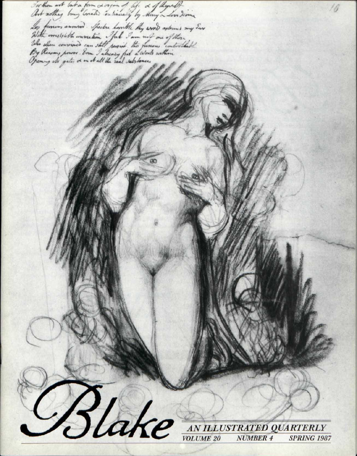For thou art lake form & organ of life & of thepalt Les famos annous. Subse howthe thy word astoms my Sare<br>With irrests to the immedia . Jul I am not one of these . Who where convinces can still served the funds within **IN** *s ^ ? AN ILLUSTRATED QUARTERLY*  ^ ^ *VOLUME 20 NUMBER 4 SPRING 1987*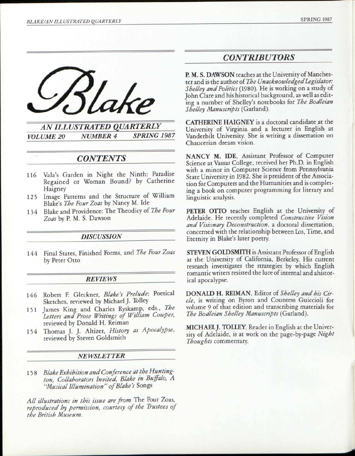

*AN ILLUSTRATED QUARTERLY VOLUME 20 NUMBER 4 SPRING 1987* 

# *CONTENTS*

- 116 Vala's Garden in Night the Ninth: Paradise Regained or Woman Bound? by Catherine Haigney
- 125 Image Patterns and the Structure of William Blake's *The Four Zoas* by Nancy M. Ide
- 134 Blake and Providence: The Theodicy of *The Four Zoas* by P. M. S. Dawson

### *DISCUSSION*

144 Final States, Finished Forms, and *The Four Zoas*  by Peter Otto

### *REVIEWS*

- 146 Robert F. Gleckner, *Blake's Prelude:* Poetical Sketches, reviewed by Michael J. Tolley
- 151 James King and Charles Ryskamp, eds., *The letters and Prose Writings of William Cowper,*  reviewed by Donald H. Reiman
- 154 Thomas J. J. Altizer, *History as Apocalypse,*  reviewed by Steven Goldsmith

#### *NEWSLETTER*

15 8 *Blake Exhibition and Conference at the Huntington, Collaborators Invited, Blake in Buffalo, A "Musical Illumination" of Blake's* Songs

*All illustrations in this issue are from* The Four Zoas, *reproduced by permission, courtesy of the Trustees of the British Museum.* 

# *CONTRIBUTORS*

P. M. S. DAWSON teaches at the University of Manchester and is the author of *The Unacknowledged Legislator: Shelley and Politics* (1980). He is working on a study of John Clare and his historical background, as well as editing a number of Shelley's notebooks for *The Bodleian Shelley Manuscripts* (Garland).

CATHERINE HAIGNEY is a doctoral candidate at the University of Virginia and a lecturer in English at Vanderbilt University. She is writing a dissertation on Chaucerian dream vision.

NANCY M. IDE, Assistant Professor of Computer Science at Vassar College, received her Ph.D. in English with a minor in Computer Science from Pennsylvania State University in 1982. She is president of the Association for Computers and the Humanities and is completing a book on computer programming for literary and linguistic analysis.

PETER OTTO teaches English at the University of Adelaide. He recently completed *Constructive Vision and Visionary Deconstruction,* a doctoral dissertation, concerned with the relationship between Los, Time, and Eternity in Blake's later poetry.

STEVEN GOLDSMITH is Assistant Professor of English at the University of California, Berkeley. His current research investigates the strategies by which English romantic writers resisted the lure of internal and ahistorical apocalypse.

DONALD H. REIMAN, Editor of *Shelley and his Circle,* is writing on Byron and Countess Guiccioli for volume 9 of that edition and transcribing materials for *The Bodleian Shelley Manuscripts* (Garland).

MICHAELJ. TOLLEY, Reader in English at the University of Adelaide, is at work on the page-by-page *Night Thoughts* commentary.